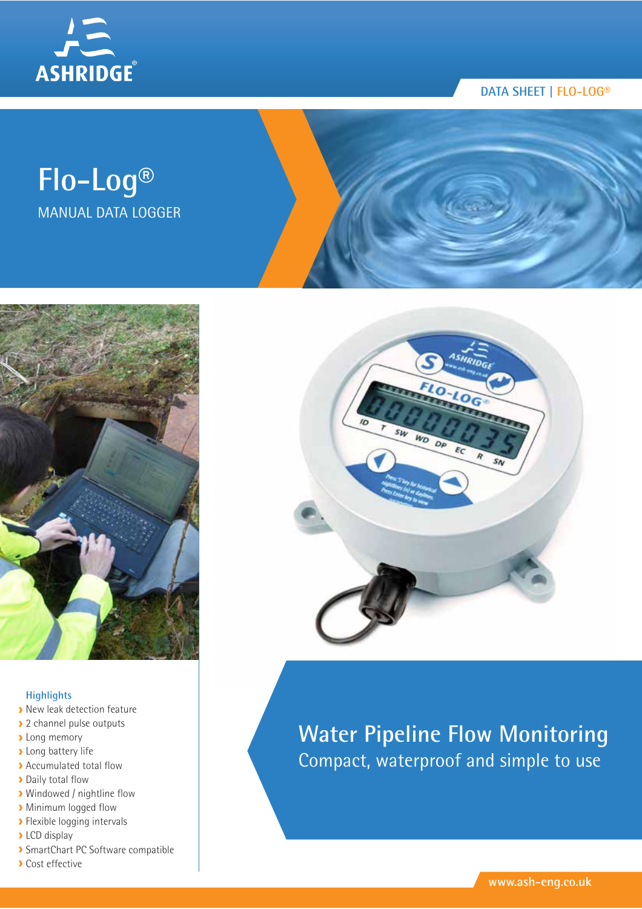

# **DATA SHEET | FLO-LOG®**

# **Flo-Log®** MANUAL DATA LOGGER



### **Highlights**

- **New leak detection feature**
- 2 channel pulse outputs
- **Long memory**
- **Long battery life**
- Accumulated total flow
- **Daily total flow**
- **>** Windowed / nightline flow
- **Minimum logged flow**
- **>** Flexible logging intervals
- LCD display
- SmartChart PC Software compatible
- **Cost effective**



# **Water Pipeline Flow Monitoring** Compact, waterproof and simple to use